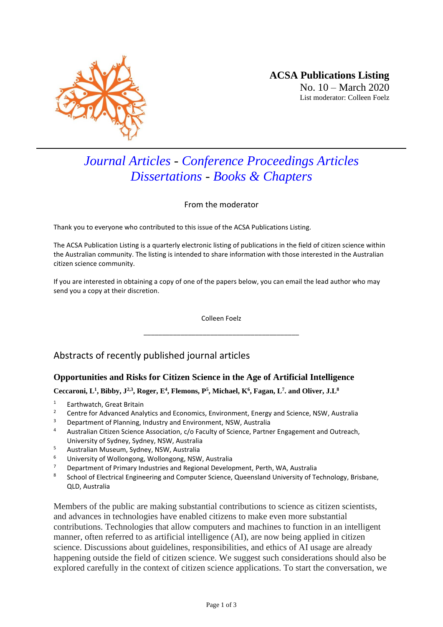

# *Journal Articles - Conference Proceedings Articles Dissertations - Books & Chapters*

From the moderator

Thank you to everyone who contributed to this issue of the ACSA Publications Listing.

The ACSA Publication Listing is a quarterly electronic listing of publications in the field of citizen science within the Australian community. The listing is intended to share information with those interested in the Australian citizen science community.

If you are interested in obtaining a copy of one of the papers below, you can email the lead author who may send you a copy at their discretion.

> Colleen Foelz \_\_\_\_\_\_\_\_\_\_\_\_\_\_\_\_\_\_\_\_\_\_\_\_\_\_\_\_\_\_\_\_\_\_\_\_\_\_\_\_\_\_

# Abstracts of recently published journal articles

## **Opportunities and Risks for Citizen Science in the Age of Artificial Intelligence**

#### **Ceccaroni, L<sup>1</sup> , Bibby, J2,3, Roger, E<sup>4</sup> , Flemons, P<sup>5</sup> , Michael, K<sup>6</sup> , Fagan, L<sup>7</sup> . and Oliver, J.L<sup>8</sup>**

- <sup>1</sup> Earthwatch, Great Britain
- <sup>2</sup> Centre for Advanced Analytics and Economics, Environment, Energy and Science, NSW, Australia<br><sup>3</sup> Department of Planning Industry and Environment, NSW, Australia
- <sup>3</sup> Department of Planning, Industry and Environment, NSW, Australia
- 4 Australian Citizen Science Association, c/o Faculty of Science, Partner Engagement and Outreach, University of Sydney, Sydney, NSW, Australia
- <sup>5</sup> Australian Museum, Sydney, NSW, Australia
- <sup>6</sup> University of Wollongong, Wollongong, NSW, Australia
- <sup>7</sup> Department of Primary Industries and Regional Development, Perth, WA, Australia
- 8 School of Electrical Engineering and Computer Science, Queensland University of Technology, Brisbane, QLD, Australia

Members of the public are making substantial contributions to science as citizen scientists, and advances in technologies have enabled citizens to make even more substantial contributions. Technologies that allow computers and machines to function in an intelligent manner, often referred to as artificial intelligence (AI), are now being applied in citizen science. Discussions about guidelines, responsibilities, and ethics of AI usage are already happening outside the field of citizen science. We suggest such considerations should also be explored carefully in the context of citizen science applications. To start the conversation, we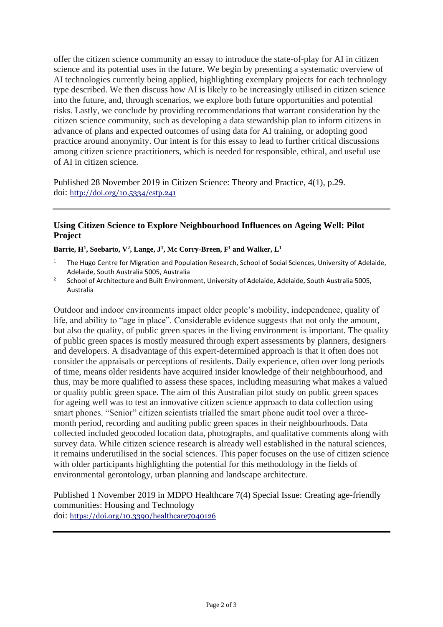offer the citizen science community an essay to introduce the state-of-play for AI in citizen science and its potential uses in the future. We begin by presenting a systematic overview of AI technologies currently being applied, highlighting exemplary projects for each technology type described. We then discuss how AI is likely to be increasingly utilised in citizen science into the future, and, through scenarios, we explore both future opportunities and potential risks. Lastly, we conclude by providing recommendations that warrant consideration by the citizen science community, such as developing a data stewardship plan to inform citizens in advance of plans and expected outcomes of using data for AI training, or adopting good practice around anonymity. Our intent is for this essay to lead to further critical discussions among citizen science practitioners, which is needed for responsible, ethical, and useful use of AI in citizen science.

Published 28 November 2019 in Citizen Science: Theory and Practice, 4(1), p.29. doi: <http://doi.org/10.5334/cstp.241>

#### **Using Citizen Science to Explore Neighbourhood Influences on Ageing Well: Pilot Project**

**Barrie, H<sup>1</sup> , Soebarto, V<sup>2</sup> , Lange, J<sup>1</sup> , Mc Corry-Breen, F <sup>1</sup> and Walker, L<sup>1</sup>**

- The Hugo Centre for Migration and Population Research, School of Social Sciences, University of Adelaide, Adelaide, South Australia 5005, Australia
- 2 School of Architecture and Built Environment, University of Adelaide, Adelaide, South Australia 5005, Australia

Outdoor and indoor environments impact older people's mobility, independence, quality of life, and ability to "age in place". Considerable evidence suggests that not only the amount, but also the quality, of public green spaces in the living environment is important. The quality of public green spaces is mostly measured through expert assessments by planners, designers and developers. A disadvantage of this expert-determined approach is that it often does not consider the appraisals or perceptions of residents. Daily experience, often over long periods of time, means older residents have acquired insider knowledge of their neighbourhood, and thus, may be more qualified to assess these spaces, including measuring what makes a valued or quality public green space. The aim of this Australian pilot study on public green spaces for ageing well was to test an innovative citizen science approach to data collection using smart phones. "Senior" citizen scientists trialled the smart phone audit tool over a threemonth period, recording and auditing public green spaces in their neighbourhoods. Data collected included geocoded location data, photographs, and qualitative comments along with survey data. While citizen science research is already well established in the natural sciences, it remains underutilised in the social sciences. This paper focuses on the use of citizen science with older participants highlighting the potential for this methodology in the fields of environmental gerontology, urban planning and landscape architecture.

Published 1 November 2019 in MDPO Healthcare 7(4) Special Issue: Creating age-friendly communities: Housing and Technology doi: <https://doi.org/10.3390/healthcare7040126>